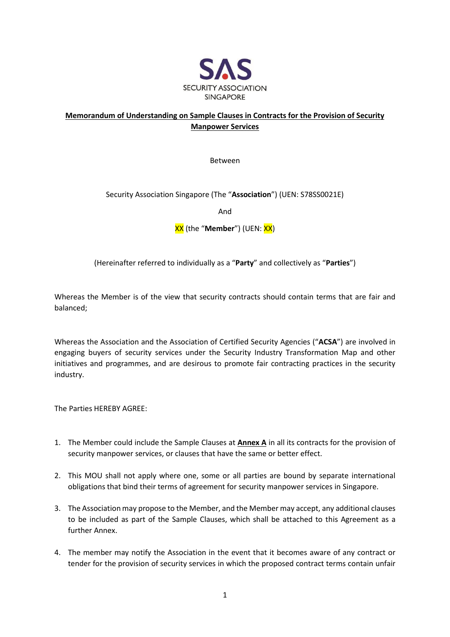

# **Memorandum of Understanding on Sample Clauses in Contracts for the Provision of Security Manpower Services**

Between

Security Association Singapore (The "**Association**") (UEN: S78SS0021E)

And

XX (the "**Member**") (UEN: XX)

(Hereinafter referred to individually as a "**Party**" and collectively as "**Parties**")

Whereas the Member is of the view that security contracts should contain terms that are fair and balanced;

Whereas the Association and the Association of Certified Security Agencies ("**ACSA**") are involved in engaging buyers of security services under the Security Industry Transformation Map and other initiatives and programmes, and are desirous to promote fair contracting practices in the security industry.

The Parties HEREBY AGREE:

- 1. The Member could include the Sample Clauses at **Annex A** in all its contracts for the provision of security manpower services, or clauses that have the same or better effect.
- 2. This MOU shall not apply where one, some or all parties are bound by separate international obligations that bind their terms of agreement for security manpower services in Singapore.
- 3. The Association may propose to the Member, and the Member may accept, any additional clauses to be included as part of the Sample Clauses, which shall be attached to this Agreement as a further Annex.
- 4. The member may notify the Association in the event that it becomes aware of any contract or tender for the provision of security services in which the proposed contract terms contain unfair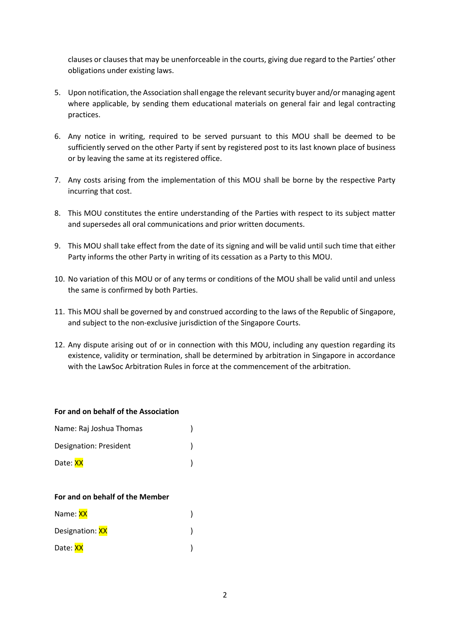clauses or clauses that may be unenforceable in the courts, giving due regard to the Parties' other obligations under existing laws.

- 5. Upon notification, the Association shall engage the relevant security buyer and/or managing agent where applicable, by sending them educational materials on general fair and legal contracting practices.
- 6. Any notice in writing, required to be served pursuant to this MOU shall be deemed to be sufficiently served on the other Party if sent by registered post to its last known place of business or by leaving the same at its registered office.
- 7. Any costs arising from the implementation of this MOU shall be borne by the respective Party incurring that cost.
- 8. This MOU constitutes the entire understanding of the Parties with respect to its subject matter and supersedes all oral communications and prior written documents.
- 9. This MOU shall take effect from the date of its signing and will be valid until such time that either Party informs the other Party in writing of its cessation as a Party to this MOU.
- 10. No variation of this MOU or of any terms or conditions of the MOU shall be valid until and unless the same is confirmed by both Parties.
- 11. This MOU shall be governed by and construed according to the laws of the Republic of Singapore, and subject to the non-exclusive jurisdiction of the Singapore Courts.
- 12. Any dispute arising out of or in connection with this MOU, including any question regarding its existence, validity or termination, shall be determined by arbitration in Singapore in accordance with the LawSoc Arbitration Rules in force at the commencement of the arbitration.

## **For and on behalf of the Association**

| Name: Raj Joshua Thomas |  |
|-------------------------|--|
| Designation: President  |  |
| Date: XX                |  |

## **For and on behalf of the Member**

| Name: XX        |  |
|-----------------|--|
| Designation: XX |  |
| Date: XX        |  |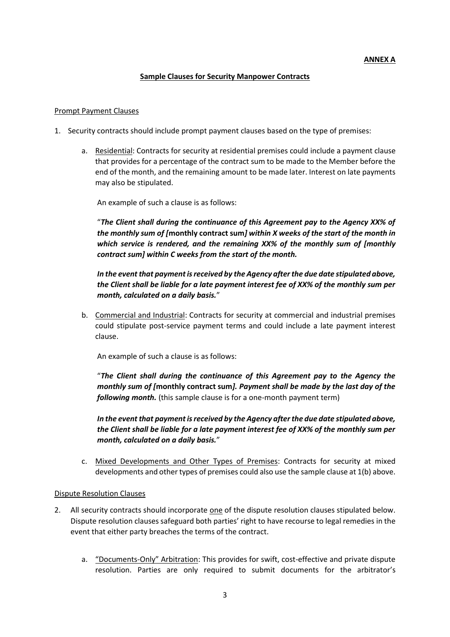# **Sample Clauses for Security Manpower Contracts**

### Prompt Payment Clauses

- 1. Security contracts should include prompt payment clauses based on the type of premises:
	- a. Residential: Contracts for security at residential premises could include a payment clause that provides for a percentage of the contract sum to be made to the Member before the end of the month, and the remaining amount to be made later. Interest on late payments may also be stipulated.

An example of such a clause is as follows:

"*The Client shall during the continuance of this Agreement pay to the Agency XX% of the monthly sum of [***monthly contract sum***] within X weeks of the start of the month in which service is rendered, and the remaining XX% of the monthly sum of [monthly contract sum] within C weeks from the start of the month.* 

*In the event that payment is received by the Agency after the due date stipulated above, the Client shall be liable for a late payment interest fee of XX% of the monthly sum per month, calculated on a daily basis.*"

b. Commercial and Industrial: Contracts for security at commercial and industrial premises could stipulate post-service payment terms and could include a late payment interest clause.

An example of such a clause is as follows:

"*The Client shall during the continuance of this Agreement pay to the Agency the monthly sum of [***monthly contract sum***]. Payment shall be made by the last day of the following month.* (this sample clause is for a one-month payment term)

*In the event that payment is received by the Agency after the due date stipulated above, the Client shall be liable for a late payment interest fee of XX% of the monthly sum per month, calculated on a daily basis.*"

c. Mixed Developments and Other Types of Premises: Contracts for security at mixed developments and other types of premises could also use the sample clause at 1(b) above.

## Dispute Resolution Clauses

- 2. All security contracts should incorporate one of the dispute resolution clauses stipulated below. Dispute resolution clauses safeguard both parties' right to have recourse to legal remedies in the event that either party breaches the terms of the contract.
	- a. "Documents-Only" Arbitration: This provides for swift, cost-effective and private dispute resolution. Parties are only required to submit documents for the arbitrator's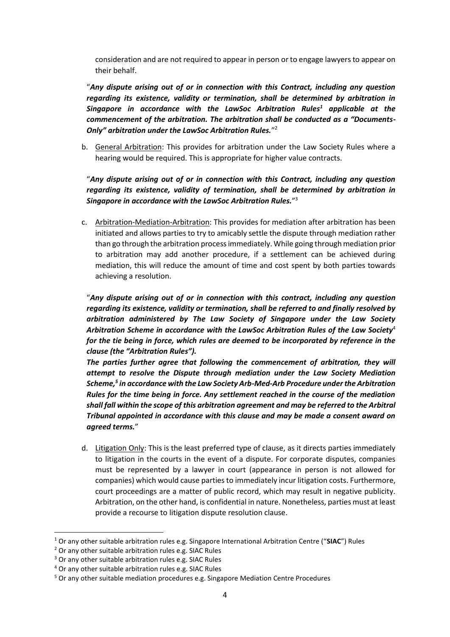consideration and are not required to appear in person or to engage lawyers to appear on their behalf.

"*Any dispute arising out of or in connection with this Contract, including any question regarding its existence, validity or termination, shall be determined by arbitration in Singapore in accordance with the LawSoc Arbitration Rules<sup>1</sup> applicable at the commencement of the arbitration. The arbitration shall be conducted as a "Documents-Only" arbitration under the LawSoc Arbitration Rules.*" 2

b. General Arbitration: This provides for arbitration under the Law Society Rules where a hearing would be required. This is appropriate for higher value contracts.

"*Any dispute arising out of or in connection with this Contract, including any question regarding its existence, validity of termination, shall be determined by arbitration in Singapore in accordance with the LawSoc Arbitration Rules.*" 3

c. Arbitration-Mediation-Arbitration: This provides for mediation after arbitration has been initiated and allows parties to try to amicably settle the dispute through mediation rather than go through the arbitration process immediately. While going through mediation prior to arbitration may add another procedure, if a settlement can be achieved during mediation, this will reduce the amount of time and cost spent by both parties towards achieving a resolution.

"*Any dispute arising out of or in connection with this contract, including any question regarding its existence, validity or termination, shall be referred to and finally resolved by arbitration administered by The Law Society of Singapore under the Law Society Arbitration Scheme in accordance with the LawSoc Arbitration Rules of the Law Society*<sup>4</sup> *for the tie being in force, which rules are deemed to be incorporated by reference in the clause (the "Arbitration Rules").*

The parties further agree that following the commencement of arbitration, they will *attempt to resolve the Dispute through mediation under the Law Society Mediation Scheme,<sup>5</sup> in accordance with the Law Society Arb-Med-Arb Procedure under the Arbitration Rules for the time being in force. Any settlement reached in the course of the mediation shall fall within the scope of this arbitration agreement and may be referred to the Arbitral Tribunal appointed in accordance with this clause and may be made a consent award on agreed terms.*"

d. Litigation Only: This is the least preferred type of clause, as it directs parties immediately to litigation in the courts in the event of a dispute. For corporate disputes, companies must be represented by a lawyer in court (appearance in person is not allowed for companies) which would cause parties to immediately incur litigation costs. Furthermore, court proceedings are a matter of public record, which may result in negative publicity. Arbitration, on the other hand, is confidential in nature. Nonetheless, parties must at least provide a recourse to litigation dispute resolution clause.

<sup>1</sup> Or any other suitable arbitration rules e.g. Singapore International Arbitration Centre ("**SIAC**") Rules

<sup>&</sup>lt;sup>2</sup> Or any other suitable arbitration rules e.g. SIAC Rules

<sup>3</sup> Or any other suitable arbitration rules e.g. SIAC Rules

<sup>4</sup> Or any other suitable arbitration rules e.g. SIAC Rules

<sup>&</sup>lt;sup>5</sup> Or any other suitable mediation procedures e.g. Singapore Mediation Centre Procedures